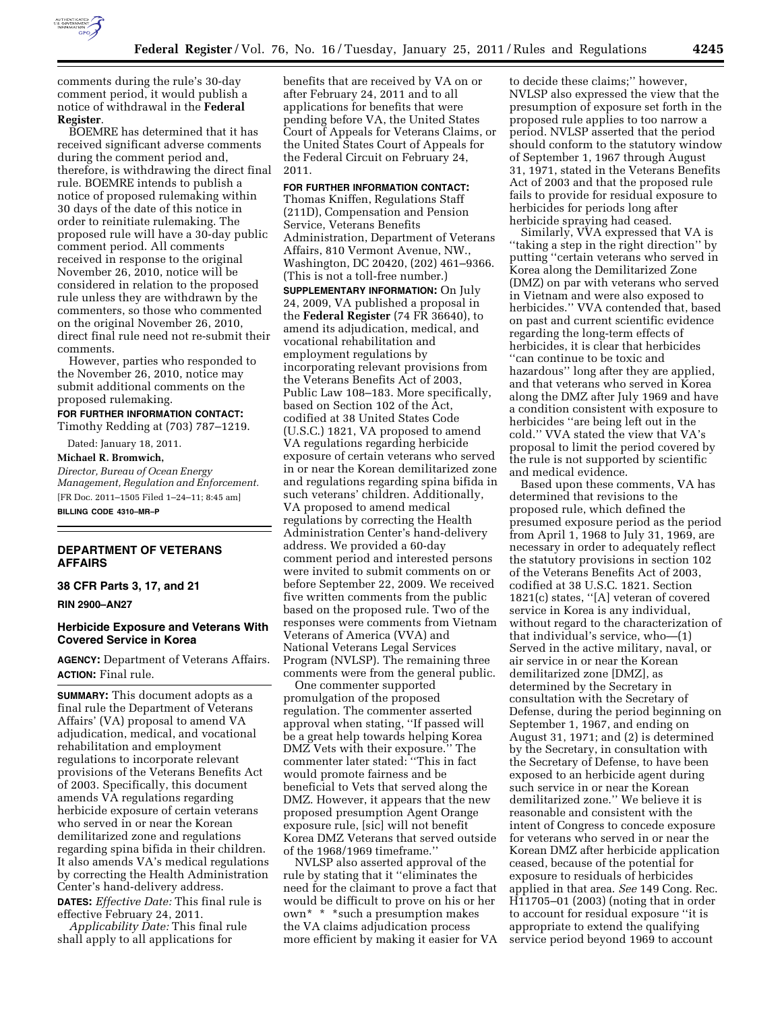

comments during the rule's 30-day comment period, it would publish a notice of withdrawal in the **Federal Register**.

BOEMRE has determined that it has received significant adverse comments during the comment period and, therefore, is withdrawing the direct final rule. BOEMRE intends to publish a notice of proposed rulemaking within 30 days of the date of this notice in order to reinitiate rulemaking. The proposed rule will have a 30-day public comment period. All comments received in response to the original November 26, 2010, notice will be considered in relation to the proposed rule unless they are withdrawn by the commenters, so those who commented on the original November 26, 2010, direct final rule need not re-submit their comments.

However, parties who responded to the November 26, 2010, notice may submit additional comments on the proposed rulemaking.

**FOR FURTHER INFORMATION CONTACT:** 

Timothy Redding at (703) 787–1219.

Dated: January 18, 2011. **Michael R. Bromwich,** 

*Director, Bureau of Ocean Energy Management, Regulation and Enforcement.*  [FR Doc. 2011–1505 Filed 1–24–11; 8:45 am] **BILLING CODE 4310–MR–P** 

# **DEPARTMENT OF VETERANS AFFAIRS**

**38 CFR Parts 3, 17, and 21** 

**RIN 2900–AN27** 

## **Herbicide Exposure and Veterans With Covered Service in Korea**

**AGENCY:** Department of Veterans Affairs. **ACTION:** Final rule.

**SUMMARY:** This document adopts as a final rule the Department of Veterans Affairs' (VA) proposal to amend VA adjudication, medical, and vocational rehabilitation and employment regulations to incorporate relevant provisions of the Veterans Benefits Act of 2003. Specifically, this document amends VA regulations regarding herbicide exposure of certain veterans who served in or near the Korean demilitarized zone and regulations regarding spina bifida in their children. It also amends VA's medical regulations by correcting the Health Administration Center's hand-delivery address.

**DATES:** *Effective Date:* This final rule is effective February 24, 2011.

*Applicability Date:* This final rule shall apply to all applications for

benefits that are received by VA on or after February 24, 2011 and to all applications for benefits that were pending before VA, the United States Court of Appeals for Veterans Claims, or the United States Court of Appeals for the Federal Circuit on February 24, 2011.

**FOR FURTHER INFORMATION CONTACT:** 

Thomas Kniffen, Regulations Staff (211D), Compensation and Pension Service, Veterans Benefits Administration, Department of Veterans Affairs, 810 Vermont Avenue, NW., Washington, DC 20420, (202) 461–9366. (This is not a toll-free number.) **SUPPLEMENTARY INFORMATION:** On July 24, 2009, VA published a proposal in the **Federal Register** (74 FR 36640), to amend its adjudication, medical, and vocational rehabilitation and employment regulations by incorporating relevant provisions from the Veterans Benefits Act of 2003, Public Law 108–183. More specifically, based on Section 102 of the Act, codified at 38 United States Code (U.S.C.) 1821, VA proposed to amend VA regulations regarding herbicide exposure of certain veterans who served in or near the Korean demilitarized zone and regulations regarding spina bifida in such veterans' children. Additionally, VA proposed to amend medical regulations by correcting the Health Administration Center's hand-delivery address. We provided a 60-day comment period and interested persons were invited to submit comments on or before September 22, 2009. We received five written comments from the public based on the proposed rule. Two of the responses were comments from Vietnam Veterans of America (VVA) and National Veterans Legal Services Program (NVLSP). The remaining three comments were from the general public.

One commenter supported promulgation of the proposed regulation. The commenter asserted approval when stating, ''If passed will be a great help towards helping Korea DMZ Vets with their exposure.'' The commenter later stated: ''This in fact would promote fairness and be beneficial to Vets that served along the DMZ. However, it appears that the new proposed presumption Agent Orange exposure rule, [sic] will not benefit Korea DMZ Veterans that served outside of the 1968/1969 timeframe.''

NVLSP also asserted approval of the rule by stating that it ''eliminates the need for the claimant to prove a fact that would be difficult to prove on his or her own\* \* \*such a presumption makes the VA claims adjudication process more efficient by making it easier for VA

to decide these claims;'' however, NVLSP also expressed the view that the presumption of exposure set forth in the proposed rule applies to too narrow a period. NVLSP asserted that the period should conform to the statutory window of September 1, 1967 through August 31, 1971, stated in the Veterans Benefits Act of 2003 and that the proposed rule fails to provide for residual exposure to herbicides for periods long after herbicide spraying had ceased.

Similarly, VVA expressed that VA is ''taking a step in the right direction'' by putting ''certain veterans who served in Korea along the Demilitarized Zone (DMZ) on par with veterans who served in Vietnam and were also exposed to herbicides.'' VVA contended that, based on past and current scientific evidence regarding the long-term effects of herbicides, it is clear that herbicides ''can continue to be toxic and hazardous'' long after they are applied, and that veterans who served in Korea along the DMZ after July 1969 and have a condition consistent with exposure to herbicides ''are being left out in the cold.'' VVA stated the view that VA's proposal to limit the period covered by the rule is not supported by scientific and medical evidence.

Based upon these comments, VA has determined that revisions to the proposed rule, which defined the presumed exposure period as the period from April 1, 1968 to July 31, 1969, are necessary in order to adequately reflect the statutory provisions in section 102 of the Veterans Benefits Act of 2003, codified at 38 U.S.C. 1821. Section 1821(c) states, ''[A] veteran of covered service in Korea is any individual, without regard to the characterization of that individual's service, who—(1) Served in the active military, naval, or air service in or near the Korean demilitarized zone [DMZ], as determined by the Secretary in consultation with the Secretary of Defense, during the period beginning on September 1, 1967, and ending on August 31, 1971; and (2) is determined by the Secretary, in consultation with the Secretary of Defense, to have been exposed to an herbicide agent during such service in or near the Korean demilitarized zone.'' We believe it is reasonable and consistent with the intent of Congress to concede exposure for veterans who served in or near the Korean DMZ after herbicide application ceased, because of the potential for exposure to residuals of herbicides applied in that area. *See* 149 Cong. Rec. H11705–01 (2003) (noting that in order to account for residual exposure ''it is appropriate to extend the qualifying service period beyond 1969 to account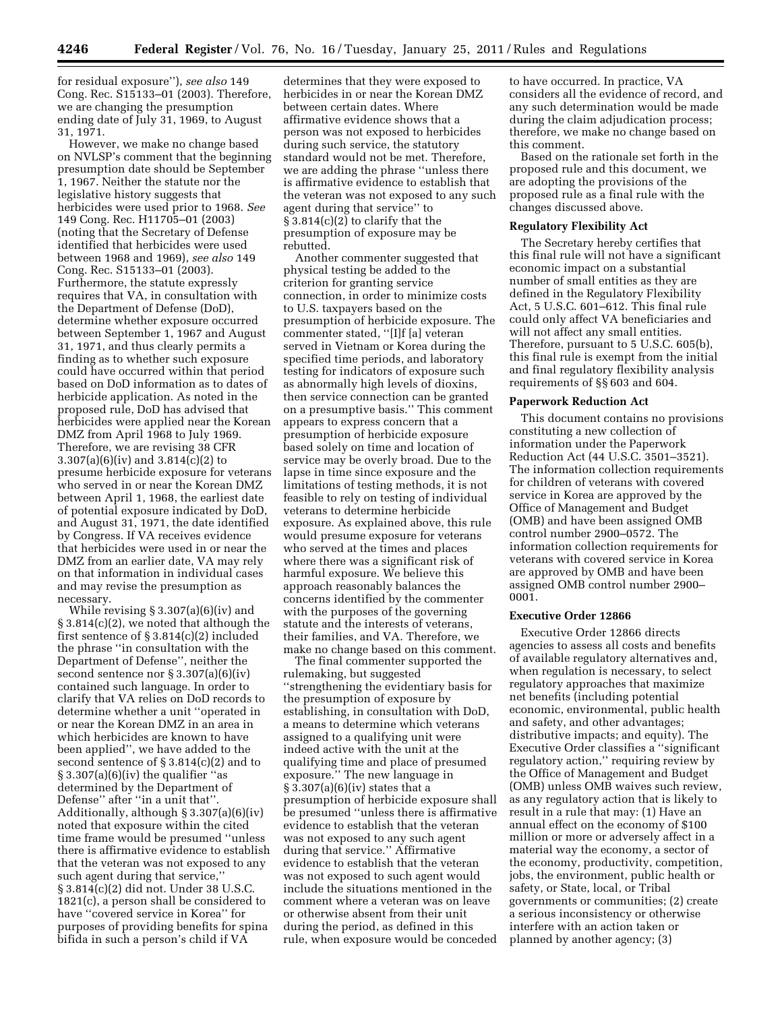for residual exposure''), *see also* 149 Cong. Rec. S15133–01 (2003). Therefore, we are changing the presumption ending date of July 31, 1969, to August 31, 1971.

However, we make no change based on NVLSP's comment that the beginning presumption date should be September 1, 1967. Neither the statute nor the legislative history suggests that herbicides were used prior to 1968. *See*  149 Cong. Rec. H11705–01 (2003) (noting that the Secretary of Defense identified that herbicides were used between 1968 and 1969), *see also* 149 Cong. Rec. S15133–01 (2003). Furthermore, the statute expressly requires that VA, in consultation with the Department of Defense (DoD), determine whether exposure occurred between September 1, 1967 and August 31, 1971, and thus clearly permits a finding as to whether such exposure could have occurred within that period based on DoD information as to dates of herbicide application. As noted in the proposed rule, DoD has advised that herbicides were applied near the Korean DMZ from April 1968 to July 1969. Therefore, we are revising 38 CFR 3.307(a)(6)(iv) and 3.814(c)(2) to presume herbicide exposure for veterans who served in or near the Korean DMZ between April 1, 1968, the earliest date of potential exposure indicated by DoD, and August 31, 1971, the date identified by Congress. If VA receives evidence that herbicides were used in or near the DMZ from an earlier date, VA may rely on that information in individual cases and may revise the presumption as necessary.

While revising § 3.307(a)(6)(iv) and § 3.814(c)(2), we noted that although the first sentence of § 3.814(c)(2) included the phrase ''in consultation with the Department of Defense'', neither the second sentence nor § 3.307(a)(6)(iv) contained such language. In order to clarify that VA relies on DoD records to determine whether a unit ''operated in or near the Korean DMZ in an area in which herbicides are known to have been applied'', we have added to the second sentence of § 3.814(c)(2) and to  $\S 3.307(a)(6)(iv)$  the qualifier "as determined by the Department of Defense'' after ''in a unit that''. Additionally, although § 3.307(a)(6)(iv) noted that exposure within the cited time frame would be presumed ''unless there is affirmative evidence to establish that the veteran was not exposed to any such agent during that service,'' § 3.814(c)(2) did not. Under 38 U.S.C. 1821(c), a person shall be considered to have ''covered service in Korea'' for purposes of providing benefits for spina bifida in such a person's child if VA

determines that they were exposed to herbicides in or near the Korean DMZ between certain dates. Where affirmative evidence shows that a person was not exposed to herbicides during such service, the statutory standard would not be met. Therefore, we are adding the phrase ''unless there is affirmative evidence to establish that the veteran was not exposed to any such agent during that service'' to § 3.814(c)(2) to clarify that the presumption of exposure may be rebutted.

Another commenter suggested that physical testing be added to the criterion for granting service connection, in order to minimize costs to U.S. taxpayers based on the presumption of herbicide exposure. The commenter stated, ''[I]f [a] veteran served in Vietnam or Korea during the specified time periods, and laboratory testing for indicators of exposure such as abnormally high levels of dioxins, then service connection can be granted on a presumptive basis.'' This comment appears to express concern that a presumption of herbicide exposure based solely on time and location of service may be overly broad. Due to the lapse in time since exposure and the limitations of testing methods, it is not feasible to rely on testing of individual veterans to determine herbicide exposure. As explained above, this rule would presume exposure for veterans who served at the times and places where there was a significant risk of harmful exposure. We believe this approach reasonably balances the concerns identified by the commenter with the purposes of the governing statute and the interests of veterans, their families, and VA. Therefore, we make no change based on this comment.

The final commenter supported the rulemaking, but suggested ''strengthening the evidentiary basis for the presumption of exposure by establishing, in consultation with DoD, a means to determine which veterans assigned to a qualifying unit were indeed active with the unit at the qualifying time and place of presumed exposure.'' The new language in  $\S 3.307(a)(6)(iv)$  states that a presumption of herbicide exposure shall be presumed ''unless there is affirmative evidence to establish that the veteran was not exposed to any such agent during that service.'' Affirmative evidence to establish that the veteran was not exposed to such agent would include the situations mentioned in the comment where a veteran was on leave or otherwise absent from their unit during the period, as defined in this rule, when exposure would be conceded to have occurred. In practice, VA considers all the evidence of record, and any such determination would be made during the claim adjudication process; therefore, we make no change based on this comment.

Based on the rationale set forth in the proposed rule and this document, we are adopting the provisions of the proposed rule as a final rule with the changes discussed above.

## **Regulatory Flexibility Act**

The Secretary hereby certifies that this final rule will not have a significant economic impact on a substantial number of small entities as they are defined in the Regulatory Flexibility Act, 5 U.S.C. 601–612. This final rule could only affect VA beneficiaries and will not affect any small entities. Therefore, pursuant to 5 U.S.C. 605(b), this final rule is exempt from the initial and final regulatory flexibility analysis requirements of §§ 603 and 604.

#### **Paperwork Reduction Act**

This document contains no provisions constituting a new collection of information under the Paperwork Reduction Act (44 U.S.C. 3501–3521). The information collection requirements for children of veterans with covered service in Korea are approved by the Office of Management and Budget (OMB) and have been assigned OMB control number 2900–0572. The information collection requirements for veterans with covered service in Korea are approved by OMB and have been assigned OMB control number 2900– 0001.

## **Executive Order 12866**

Executive Order 12866 directs agencies to assess all costs and benefits of available regulatory alternatives and, when regulation is necessary, to select regulatory approaches that maximize net benefits (including potential economic, environmental, public health and safety, and other advantages; distributive impacts; and equity). The Executive Order classifies a ''significant regulatory action,'' requiring review by the Office of Management and Budget (OMB) unless OMB waives such review, as any regulatory action that is likely to result in a rule that may: (1) Have an annual effect on the economy of \$100 million or more or adversely affect in a material way the economy, a sector of the economy, productivity, competition, jobs, the environment, public health or safety, or State, local, or Tribal governments or communities; (2) create a serious inconsistency or otherwise interfere with an action taken or planned by another agency; (3)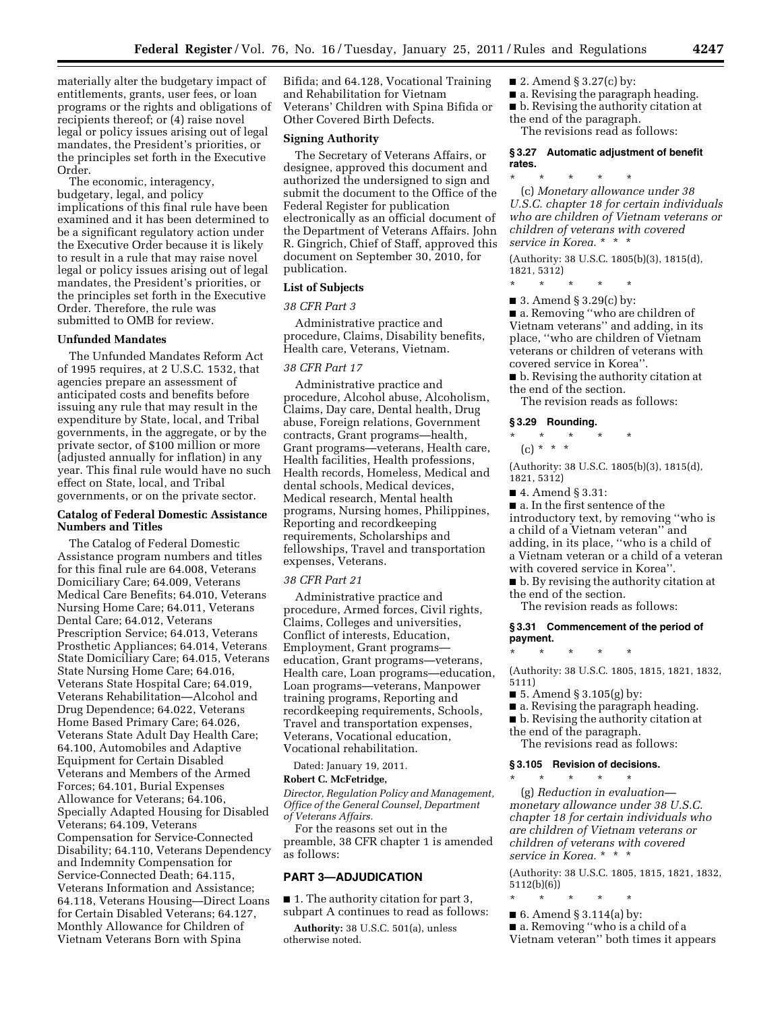materially alter the budgetary impact of entitlements, grants, user fees, or loan programs or the rights and obligations of recipients thereof; or (4) raise novel legal or policy issues arising out of legal mandates, the President's priorities, or the principles set forth in the Executive Order.

The economic, interagency, budgetary, legal, and policy implications of this final rule have been examined and it has been determined to be a significant regulatory action under the Executive Order because it is likely to result in a rule that may raise novel legal or policy issues arising out of legal mandates, the President's priorities, or the principles set forth in the Executive Order. Therefore, the rule was submitted to OMB for review.

## **Unfunded Mandates**

The Unfunded Mandates Reform Act of 1995 requires, at 2 U.S.C. 1532, that agencies prepare an assessment of anticipated costs and benefits before issuing any rule that may result in the expenditure by State, local, and Tribal governments, in the aggregate, or by the private sector, of \$100 million or more (adjusted annually for inflation) in any year. This final rule would have no such effect on State, local, and Tribal governments, or on the private sector.

## **Catalog of Federal Domestic Assistance Numbers and Titles**

The Catalog of Federal Domestic Assistance program numbers and titles for this final rule are 64.008, Veterans Domiciliary Care; 64.009, Veterans Medical Care Benefits; 64.010, Veterans Nursing Home Care; 64.011, Veterans Dental Care; 64.012, Veterans Prescription Service; 64.013, Veterans Prosthetic Appliances; 64.014, Veterans State Domiciliary Care; 64.015, Veterans State Nursing Home Care; 64.016, Veterans State Hospital Care; 64.019, Veterans Rehabilitation—Alcohol and Drug Dependence; 64.022, Veterans Home Based Primary Care; 64.026, Veterans State Adult Day Health Care; 64.100, Automobiles and Adaptive Equipment for Certain Disabled Veterans and Members of the Armed Forces; 64.101, Burial Expenses Allowance for Veterans; 64.106, Specially Adapted Housing for Disabled Veterans; 64.109, Veterans Compensation for Service-Connected Disability; 64.110, Veterans Dependency and Indemnity Compensation for Service-Connected Death; 64.115, Veterans Information and Assistance; 64.118, Veterans Housing—Direct Loans for Certain Disabled Veterans; 64.127, Monthly Allowance for Children of Vietnam Veterans Born with Spina

Bifida; and 64.128, Vocational Training and Rehabilitation for Vietnam Veterans' Children with Spina Bifida or Other Covered Birth Defects.

## **Signing Authority**

The Secretary of Veterans Affairs, or designee, approved this document and authorized the undersigned to sign and submit the document to the Office of the Federal Register for publication electronically as an official document of the Department of Veterans Affairs. John R. Gingrich, Chief of Staff, approved this document on September 30, 2010, for publication.

### **List of Subjects**

*38 CFR Part 3* 

Administrative practice and procedure, Claims, Disability benefits, Health care, Veterans, Vietnam.

## *38 CFR Part 17*

Administrative practice and procedure, Alcohol abuse, Alcoholism, Claims, Day care, Dental health, Drug abuse, Foreign relations, Government contracts, Grant programs—health, Grant programs—veterans, Health care, Health facilities, Health professions, Health records, Homeless, Medical and dental schools, Medical devices, Medical research, Mental health programs, Nursing homes, Philippines, Reporting and recordkeeping requirements, Scholarships and fellowships, Travel and transportation expenses, Veterans.

#### *38 CFR Part 21*

Administrative practice and procedure, Armed forces, Civil rights, Claims, Colleges and universities, Conflict of interests, Education, Employment, Grant programs education, Grant programs—veterans, Health care, Loan programs—education, Loan programs—veterans, Manpower training programs, Reporting and recordkeeping requirements, Schools, Travel and transportation expenses, Veterans, Vocational education, Vocational rehabilitation.

Dated: January 19, 2011.

#### **Robert C. McFetridge,**

*Director, Regulation Policy and Management, Office of the General Counsel, Department of Veterans Affairs.* 

For the reasons set out in the preamble, 38 CFR chapter 1 is amended as follows:

## **PART 3—ADJUDICATION**

■ 1. The authority citation for part 3, subpart A continues to read as follows:

**Authority:** 38 U.S.C. 501(a), unless otherwise noted.

- $\blacksquare$  2. Amend § 3.27(c) by:
- a. Revising the paragraph heading.
- b. Revising the authority citation at the end of the paragraph.

The revisions read as follows:

## **§ 3.27 Automatic adjustment of benefit rates.**

\* \* \* \* \* (c) *Monetary allowance under 38 U.S.C. chapter 18 for certain individuals who are children of Vietnam veterans or children of veterans with covered service in Korea.* \* \* \*

(Authority: 38 U.S.C. 1805(b)(3), 1815(d), 1821, 5312)

- \* \* \* \* \*
- 3. Amend § 3.29(c) by:

■ a. Removing "who are children of Vietnam veterans'' and adding, in its place, ''who are children of Vietnam veterans or children of veterans with covered service in Korea''.

- b. Revising the authority citation at the end of the section.
- The revision reads as follows:

#### **§ 3.29 Rounding.**

- \* \* \* \* \*
- $(c) * * * *$

(Authority: 38 U.S.C. 1805(b)(3), 1815(d), 1821, 5312)

■ 4. Amend § 3.31:

■ a. In the first sentence of the introductory text, by removing ''who is a child of a Vietnam veteran'' and adding, in its place, ''who is a child of a Vietnam veteran or a child of a veteran with covered service in Korea''.

■ **b**. By revising the authority citation at the end of the section.

The revision reads as follows:

#### **§ 3.31 Commencement of the period of payment.**

(Authority: 38 U.S.C. 1805, 1815, 1821, 1832, 5111)

■ 5. Amend § 3.105 $(g)$  by:

\* \* \* \* \*

- a. Revising the paragraph heading.
- b. Revising the authority citation at
- the end of the paragraph.
- The revisions read as follows:

#### **§ 3.105 Revision of decisions.**  \* \* \* \* \*

(g) *Reduction in evaluation monetary allowance under 38 U.S.C. chapter 18 for certain individuals who are children of Vietnam veterans or children of veterans with covered service in Korea.* \* \* \*

(Authority: 38 U.S.C. 1805, 1815, 1821, 1832,  $5112(b)(6)$ 

- \* \* \* \* \*
- 6. Amend § 3.114(a) by:
- a. Removing ''who is a child of a
- Vietnam veteran'' both times it appears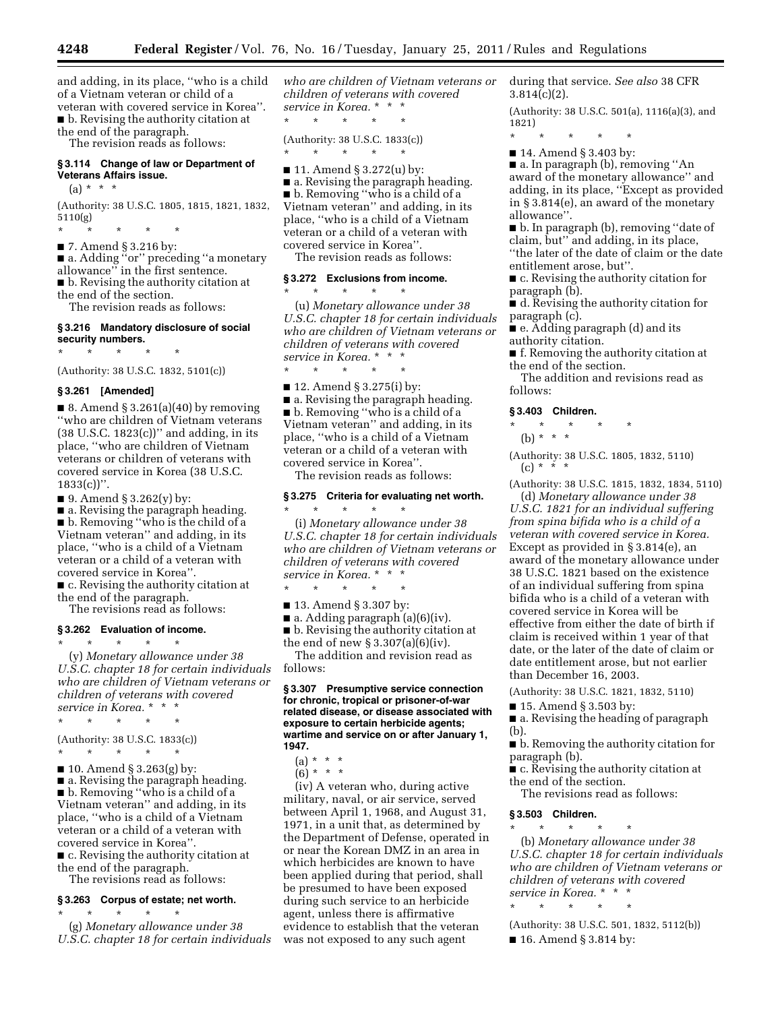**4248 Federal Register** / Vol. 76, No. 16 / Tuesday, January 25, 2011 / Rules and Regulations

and adding, in its place, ''who is a child of a Vietnam veteran or child of a veteran with covered service in Korea''. ■ b. Revising the authority citation at the end of the paragraph.

The revision reads as follows:

#### **§ 3.114 Change of law or Department of Veterans Affairs issue.**

## $(a) * * * *$

(Authority: 38 U.S.C. 1805, 1815, 1821, 1832, 5110(g)

\* \* \* \* \*

■ 7. Amend § 3.216 by: ■ a. Adding "or" preceding "a monetary allowance'' in the first sentence. ■ b. Revising the authority citation at the end of the section.

The revision reads as follows:

#### **§ 3.216 Mandatory disclosure of social security numbers.**

\* \* \* \* \*

(Authority: 38 U.S.C. 1832, 5101(c))

## **§ 3.261 [Amended]**

 $\blacksquare$  8. Amend § 3.261(a)(40) by removing ''who are children of Vietnam veterans  $(38 \text{ U.S.C. } 1823(c))$ " and adding, in its place, ''who are children of Vietnam veterans or children of veterans with covered service in Korea (38 U.S.C.  $1833(c)$ ".

 $\blacksquare$  9. Amend § 3.262(y) by:

■ a. Revising the paragraph heading. ■ b. Removing "who is the child of a Vietnam veteran'' and adding, in its place, ''who is a child of a Vietnam veteran or a child of a veteran with covered service in Korea''.

■ c. Revising the authority citation at the end of the paragraph.

The revisions read as follows:

#### **§ 3.262 Evaluation of income.**  \* \* \* \* \*

(y) *Monetary allowance under 38 U.S.C. chapter 18 for certain individuals who are children of Vietnam veterans or children of veterans with covered service in Korea.* \* \* \*

 $\star$   $\star$ 

(Authority: 38 U.S.C. 1833(c))

\* \* \* \* \*

 $\blacksquare$  10. Amend § 3.263(g) by: ■ a. Revising the paragraph heading. ■ b. Removing ''who is a child of a Vietnam veteran'' and adding, in its place, ''who is a child of a Vietnam veteran or a child of a veteran with covered service in Korea''. ■ c. Revising the authority citation at

the end of the paragraph. The revisions read as follows:

#### **§ 3.263 Corpus of estate; net worth.**

\* \* \* \* \* (g) *Monetary allowance under 38 U.S.C. chapter 18 for certain individuals*  *who are children of Vietnam veterans or children of veterans with covered service in Korea.* \* \* \*

\* \* \* \* \* (Authority: 38 U.S.C. 1833(c))

\* \* \* \* \*

■ 11. Amend § 3.272(u) by:

■ a. Revising the paragraph heading. ■ b. Removing "who is a child of a Vietnam veteran'' and adding, in its place, ''who is a child of a Vietnam veteran or a child of a veteran with covered service in Korea''.

The revision reads as follows:

## **§ 3.272 Exclusions from income.**

\* \* \* \* \* (u) *Monetary allowance under 38 U.S.C. chapter 18 for certain individuals who are children of Vietnam veterans or children of veterans with covered service in Korea.* \* \* \*

\* \* \* \* \*

■ 12. Amend § 3.275(i) by: ■ a. Revising the paragraph heading. ■ b. Removing "who is a child of a Vietnam veteran'' and adding, in its place, ''who is a child of a Vietnam veteran or a child of a veteran with covered service in Korea''.

The revision reads as follows:

\* \* \* \* \*

## **§ 3.275 Criteria for evaluating net worth.**

(i) *Monetary allowance under 38 U.S.C. chapter 18 for certain individuals who are children of Vietnam veterans or children of veterans with covered service in Korea.* \* \* \*

\* \* \* \* \*

■ 13. Amend § 3.307 by:

 $\blacksquare$  a. Adding paragraph (a)(6)(iv). ■ **b.** Revising the authority citation at the end of new  $\S 3.307(a)(6)(iv)$ .

The addition and revision read as follows:

#### **§ 3.307 Presumptive service connection for chronic, tropical or prisoner-of-war related disease, or disease associated with exposure to certain herbicide agents; wartime and service on or after January 1, 1947.**

- $(a) * * * *$
- $(6) * * * *$

(iv) A veteran who, during active military, naval, or air service, served between April 1, 1968, and August 31, 1971, in a unit that, as determined by the Department of Defense, operated in or near the Korean DMZ in an area in which herbicides are known to have been applied during that period, shall be presumed to have been exposed during such service to an herbicide agent, unless there is affirmative evidence to establish that the veteran was not exposed to any such agent

during that service. *See also* 38 CFR  $3.814(c)(2)$ .

(Authority: 38 U.S.C. 501(a), 1116(a)(3), and 1821)

- \* \* \* \* \*
- 14. Amend § 3.403 by:

■ a. In paragraph (b), removing "An award of the monetary allowance'' and adding, in its place, ''Except as provided in § 3.814(e), an award of the monetary allowance''.

■ b. In paragraph (b), removing "date of claim, but'' and adding, in its place, ''the later of the date of claim or the date entitlement arose, but''.

■ c. Revising the authority citation for paragraph (b).

■ d. Revising the authority citation for paragraph (c).

- e. Adding paragraph (d) and its authority citation.
- f. Removing the authority citation at the end of the section.

The addition and revisions read as follows:

#### **§ 3.403 Children.**

- \* \* \* \* \*
- (b) \* \* \*

(Authority: 38 U.S.C. 1805, 1832, 5110)  $(c) * * * *$ 

(Authority: 38 U.S.C. 1815, 1832, 1834, 5110) (d) *Monetary allowance under 38* 

*U.S.C. 1821 for an individual suffering from spina bifida who is a child of a veteran with covered service in Korea.*  Except as provided in § 3.814(e), an award of the monetary allowance under 38 U.S.C. 1821 based on the existence of an individual suffering from spina bifida who is a child of a veteran with covered service in Korea will be effective from either the date of birth if claim is received within 1 year of that date, or the later of the date of claim or date entitlement arose, but not earlier than December 16, 2003.

(Authority: 38 U.S.C. 1821, 1832, 5110)

■ 15. Amend § 3.503 by:

■ a. Revising the heading of paragraph (b).

- b. Removing the authority citation for paragraph (b).
- c. Revising the authority citation at the end of the section.

The revisions read as follows:

#### **§ 3.503 Children.**

\* \* \* \* \*

\* \* \* \* \*

(b) *Monetary allowance under 38 U.S.C. chapter 18 for certain individuals who are children of Vietnam veterans or children of veterans with covered service in Korea.* \* \* \*

(Authority: 38 U.S.C. 501, 1832, 5112(b)) ■ 16. Amend § 3.814 by: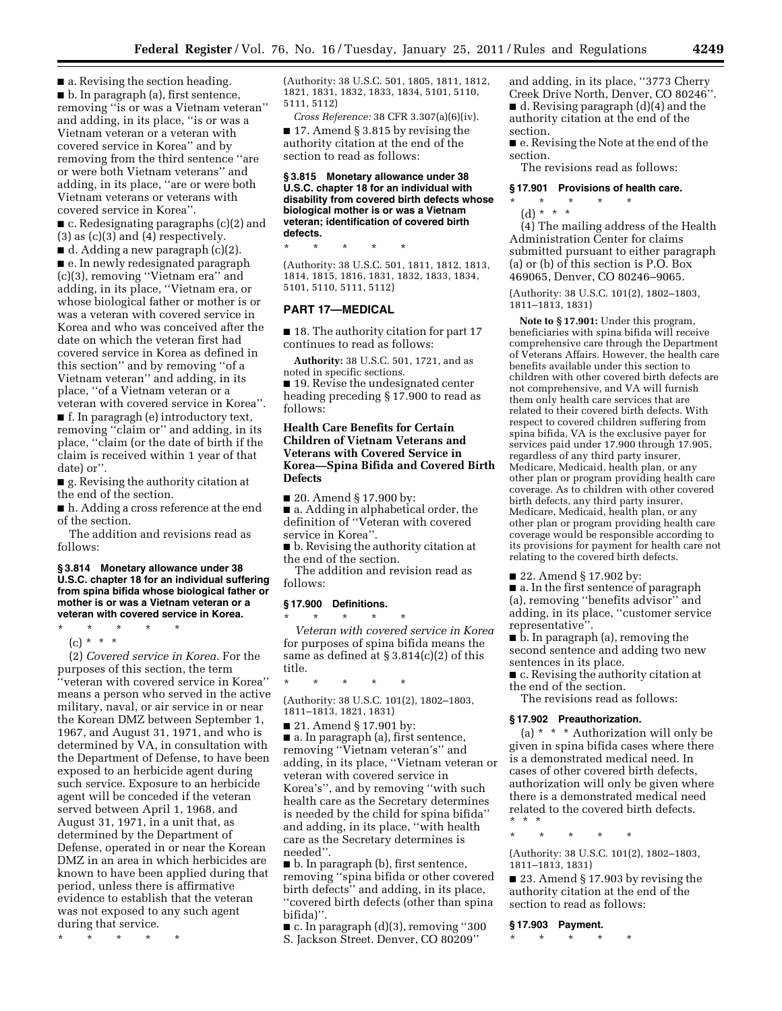$\blacksquare$  a. Revising the section heading. ■ b. In paragraph (a), first sentence, removing ''is or was a Vietnam veteran'' and adding, in its place, ''is or was a Vietnam veteran or a veteran with covered service in Korea'' and by removing from the third sentence ''are or were both Vietnam veterans'' and adding, in its place, ''are or were both Vietnam veterans or veterans with covered service in Korea''.

■ c. Redesignating paragraphs (c)(2) and (3) as (c)(3) and (4) respectively.

■ d. Adding a new paragraph (c)(2). ■ e. In newly redesignated paragraph (c)(3), removing ''Vietnam era'' and adding, in its place, ''Vietnam era, or whose biological father or mother is or was a veteran with covered service in Korea and who was conceived after the date on which the veteran first had covered service in Korea as defined in this section'' and by removing ''of a Vietnam veteran'' and adding, in its place, ''of a Vietnam veteran or a veteran with covered service in Korea''.

■ f. In paragragh (e) introductory text, removing "claim or" and adding, in its place, ''claim (or the date of birth if the claim is received within 1 year of that date) or''.

■ g. Revising the authority citation at the end of the section.

■ h. Adding a cross reference at the end of the section.

The addition and revisions read as follows:

**§ 3.814 Monetary allowance under 38 U.S.C. chapter 18 for an individual suffering from spina bifida whose biological father or mother is or was a Vietnam veteran or a veteran with covered service in Korea.** 

\* \* \* \* \*

(c) \* \* \*

(2) *Covered service in Korea.* For the purposes of this section, the term ''veteran with covered service in Korea'' means a person who served in the active military, naval, or air service in or near the Korean DMZ between September 1, 1967, and August 31, 1971, and who is determined by VA, in consultation with the Department of Defense, to have been exposed to an herbicide agent during such service. Exposure to an herbicide agent will be conceded if the veteran served between April 1, 1968, and August 31, 1971, in a unit that, as determined by the Department of Defense, operated in or near the Korean DMZ in an area in which herbicides are known to have been applied during that period, unless there is affirmative evidence to establish that the veteran was not exposed to any such agent during that service.

\* \* \* \* \*

(Authority: 38 U.S.C. 501, 1805, 1811, 1812, 1821, 1831, 1832, 1833, 1834, 5101, 5110, 5111, 5112)

*Cross Reference:* 38 CFR 3.307(a)(6)(iv). ■ 17. Amend § 3.815 by revising the authority citation at the end of the section to read as follows:

**§ 3.815 Monetary allowance under 38 U.S.C. chapter 18 for an individual with disability from covered birth defects whose biological mother is or was a Vietnam veteran; identification of covered birth defects.** 

\* \* \* \* \* (Authority: 38 U.S.C. 501, 1811, 1812, 1813, 1814, 1815, 1816, 1831, 1832, 1833, 1834, 5101, 5110, 5111, 5112)

## **PART 17—MEDICAL**

■ 18. The authority citation for part 17 continues to read as follows:

**Authority:** 38 U.S.C. 501, 1721, and as noted in specific sections.

■ 19. Revise the undesignated center heading preceding § 17.900 to read as follows:

## **Health Care Benefits for Certain Children of Vietnam Veterans and Veterans with Covered Service in Korea—Spina Bifida and Covered Birth Defects**

■ 20. Amend § 17.900 by:

■ a. Adding in alphabetical order, the definition of ''Veteran with covered service in Korea''.

■ b. Revising the authority citation at the end of the section.

The addition and revision read as follows:

# **§ 17.900 Definitions.**

\* \* \* \* \* *Veteran with covered service in Korea*  for purposes of spina bifida means the same as defined at § 3.814(c)(2) of this title.

\* \* \* \* \*

(Authority: 38 U.S.C. 101(2), 1802–1803, 1811–1813, 1821, 1831)

■ 21. Amend § 17.901 by:

■ a. In paragraph (a), first sentence, removing ''Vietnam veteran's'' and adding, in its place, ''Vietnam veteran or veteran with covered service in Korea's'', and by removing ''with such health care as the Secretary determines is needed by the child for spina bifida'' and adding, in its place, ''with health care as the Secretary determines is needed''.

■ b. In paragraph (b), first sentence, removing ''spina bifida or other covered birth defects'' and adding, in its place, ''covered birth defects (other than spina bifida)''.

■ c. In paragraph (d)(3), removing ''300 S. Jackson Street. Denver, CO 80209''

and adding, in its place, ''3773 Cherry Creek Drive North, Denver, CO 80246''. ■ d. Revising paragraph (d)(4) and the authority citation at the end of the section.

■ e. Revising the Note at the end of the section.

The revisions read as follows:

#### **§ 17.901 Provisions of health care.**

\* \* \* \* \* (d) \* \* \*

(4) The mailing address of the Health Administration Center for claims submitted pursuant to either paragraph (a) or (b) of this section is P.O. Box 469065, Denver, CO 80246–9065.

(Authority: 38 U.S.C. 101(2), 1802–1803, 1811–1813, 1831)

**Note to § 17.901:** Under this program, beneficiaries with spina bifida will receive comprehensive care through the Department of Veterans Affairs. However, the health care benefits available under this section to children with other covered birth defects are not comprehensive, and VA will furnish them only health care services that are related to their covered birth defects. With respect to covered children suffering from spina bifida, VA is the exclusive payer for services paid under 17.900 through 17.905, regardless of any third party insurer, Medicare, Medicaid, health plan, or any other plan or program providing health care coverage. As to children with other covered birth defects, any third party insurer, Medicare, Medicaid, health plan, or any other plan or program providing health care coverage would be responsible according to its provisions for payment for health care not relating to the covered birth defects.

■ 22. Amend § 17.902 by:

■ a. In the first sentence of paragraph (a), removing ''benefits advisor'' and adding, in its place, ''customer service representative''.

■ b. In paragraph (a), removing the second sentence and adding two new sentences in its place.

■ c. Revising the authority citation at the end of the section.

The revisions read as follows:

#### **§ 17.902 Preauthorization.**

(a)  $* * *$  Authorization will only be given in spina bifida cases where there is a demonstrated medical need. In cases of other covered birth defects, authorization will only be given where there is a demonstrated medical need related to the covered birth defects. \* \* \*

\* \* \* \* \*

(Authority: 38 U.S.C. 101(2), 1802–1803, 1811–1813, 1831)

■ 23. Amend § 17.903 by revising the authority citation at the end of the section to read as follows:

**§ 17.903 Payment.** 

\* \* \* \* \*